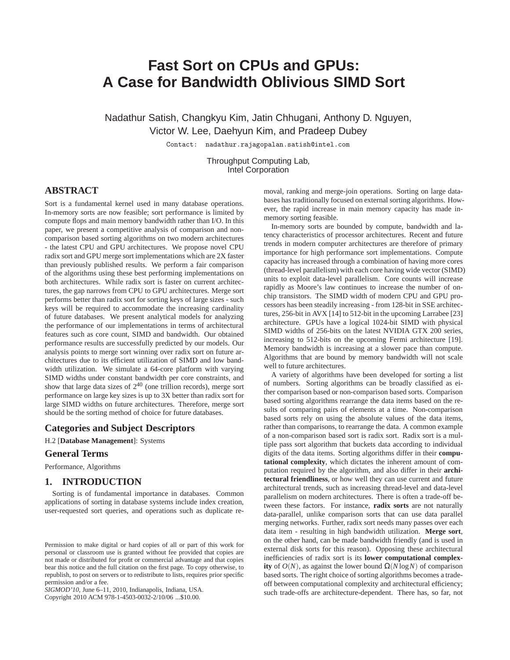# **Fast Sort on CPUs and GPUs: A Case for Bandwidth Oblivious SIMD Sort**

Nadathur Satish, Changkyu Kim, Jatin Chhugani, Anthony D. Nguyen, Victor W. Lee, Daehyun Kim, and Pradeep Dubey

Contact: nadathur.rajagopalan.satish@intel.com

Throughput Computing Lab, Intel Corporation

# **ABSTRACT**

Sort is a fundamental kernel used in many database operations. In-memory sorts are now feasible; sort performance is limited by compute flops and main memory bandwidth rather than I/O. In this paper, we present a competitive analysis of comparison and noncomparison based sorting algorithms on two modern architectures - the latest CPU and GPU architectures. We propose novel CPU radix sort and GPU merge sort implementations which are 2X faster than previously published results. We perform a fair comparison of the algorithms using these best performing implementations on both architectures. While radix sort is faster on current architectures, the gap narrows from CPU to GPU architectures. Merge sort performs better than radix sort for sorting keys of large sizes - such keys will be required to accommodate the increasing cardinality of future databases. We present analytical models for analyzing the performance of our implementations in terms of architectural features such as core count, SIMD and bandwidth. Our obtained performance results are successfully predicted by our models. Our analysis points to merge sort winning over radix sort on future architectures due to its efficient utilization of SIMD and low bandwidth utilization. We simulate a 64-core platform with varying SIMD widths under constant bandwidth per core constraints, and show that large data sizes of  $2^{40}$  (one trillion records), merge sort performance on large key sizes is up to 3X better than radix sort for large SIMD widths on future architectures. Therefore, merge sort should be the sorting method of choice for future databases.

# **Categories and Subject Descriptors**

H.2 [**Database Management**]: Systems

## **General Terms**

Performance, Algorithms

#### **1. INTRODUCTION**

Sorting is of fundamental importance in databases. Common applications of sorting in database systems include index creation, user-requested sort queries, and operations such as duplicate re-

Copyright 2010 ACM 978-1-4503-0032-2/10/06 ...\$10.00.

moval, ranking and merge-join operations. Sorting on large databases has traditionally focused on external sorting algorithms. However, the rapid increase in main memory capacity has made inmemory sorting feasible.

In-memory sorts are bounded by compute, bandwidth and latency characteristics of processor architectures. Recent and future trends in modern computer architectures are therefore of primary importance for high performance sort implementations. Compute capacity has increased through a combination of having more cores (thread-level parallelism) with each core having wide vector (SIMD) units to exploit data-level parallelism. Core counts will increase rapidly as Moore's law continues to increase the number of onchip transistors. The SIMD width of modern CPU and GPU processors has been steadily increasing - from 128-bit in SSE architectures, 256-bit in AVX [14] to 512-bit in the upcoming Larrabee [23] architecture. GPUs have a logical 1024-bit SIMD with physical SIMD widths of 256-bits on the latest NVIDIA GTX 200 series, increasing to 512-bits on the upcoming Fermi architecture [19]. Memory bandwidth is increasing at a slower pace than compute. Algorithms that are bound by memory bandwidth will not scale well to future architectures.

A variety of algorithms have been developed for sorting a list of numbers. Sorting algorithms can be broadly classified as either comparison based or non-comparison based sorts. Comparison based sorting algorithms rearrange the data items based on the results of comparing pairs of elements at a time. Non-comparison based sorts rely on using the absolute values of the data items, rather than comparisons, to rearrange the data. A common example of a non-comparison based sort is radix sort. Radix sort is a multiple pass sort algorithm that buckets data according to individual digits of the data items. Sorting algorithms differ in their **computational complexity**, which dictates the inherent amount of computation required by the algorithm, and also differ in their **architectural friendliness**, or how well they can use current and future architectural trends, such as increasing thread-level and data-level parallelism on modern architectures. There is often a trade-off between these factors. For instance, **radix sorts** are not naturally data-parallel, unlike comparison sorts that can use data parallel merging networks. Further, radix sort needs many passes over each data item - resulting in high bandwidth utilization. **Merge sort**, on the other hand, can be made bandwidth friendly (and is used in external disk sorts for this reason). Opposing these architectural inefficiencies of radix sort is its **lower computational complexity** of  $O(N)$ , as against the lower bound  $\Omega(N \log N)$  of comparison based sorts. The right choice of sorting algorithms becomes a tradeoff between computational complexity and architectural efficiency; such trade-offs are architecture-dependent. There has, so far, not

Permission to make digital or hard copies of all or part of this work for personal or classroom use is granted without fee provided that copies are not made or distributed for profit or commercial advantage and that copies bear this notice and the full citation on the first page. To copy otherwise, to republish, to post on servers or to redistribute to lists, requires prior specific permission and/or a fee.

*SIGMOD'10,* June 6–11, 2010, Indianapolis, Indiana, USA.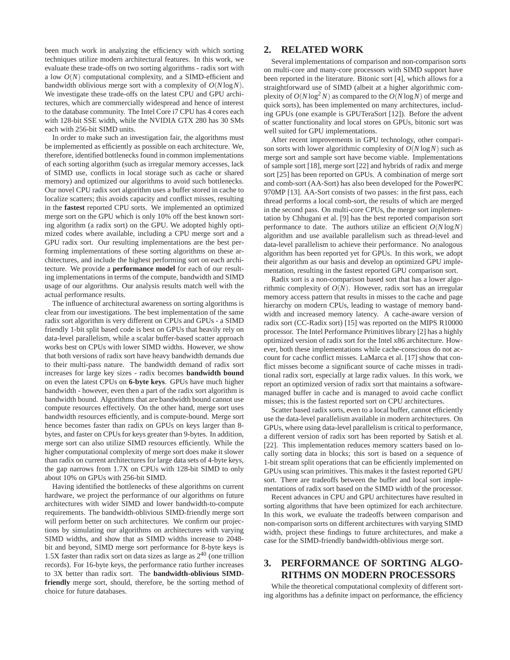been much work in analyzing the efficiency with which sorting techniques utilize modern architectural features. In this work, we evaluate these trade-offs on two sorting algorithms - radix sort with a low  $O(N)$  computational complexity, and a SIMD-efficient and bandwidth oblivious merge sort with a complexity of *O*(*N*log*N*). We investigate these trade-offs on the latest CPU and GPU architectures, which are commercially widespread and hence of interest to the database community. The Intel Core i7 CPU has 4 cores each with 128-bit SSE width, while the NVIDIA GTX 280 has 30 SMs each with 256-bit SIMD units.

In order to make such an investigation fair, the algorithms must be implemented as efficiently as possible on each architecture. We, therefore, identified bottlenecks found in common implementations of each sorting algorithm (such as irregular memory accesses, lack of SIMD use, conflicts in local storage such as cache or shared memory) and optimized our algorithms to avoid such bottlenecks. Our novel CPU radix sort algorithm uses a buffer stored in cache to localize scatters; this avoids capacity and conflict misses, resulting in the **fastest** reported CPU sorts. We implemented an optimized merge sort on the GPU which is only 10% off the best known sorting algorithm (a radix sort) on the GPU. We adopted highly optimized codes where available, including a CPU merge sort and a GPU radix sort. Our resulting implementations are the best performing implementations of these sorting algorithms on these architectures, and include the highest performing sort on each architecture. We provide a **performance model** for each of our resulting implementations in terms of the compute, bandwidth and SIMD usage of our algorithms. Our analysis results match well with the actual performance results.

The influence of architectural awareness on sorting algorithms is clear from our investigations. The best implementation of the same radix sort algorithm is very different on CPUs and GPUs - a SIMD friendly 1-bit split based code is best on GPUs that heavily rely on data-level parallelism, while a scalar buffer-based scatter approach works best on CPUs with lower SIMD widths. However, we show that both versions of radix sort have heavy bandwidth demands due to their multi-pass nature. The bandwidth demand of radix sort increases for large key sizes - radix becomes **bandwidth bound** on even the latest CPUs on **6-byte keys**. GPUs have much higher bandwidth - however, even then a part of the radix sort algorithm is bandwidth bound. Algorithms that are bandwidth bound cannot use compute resources effectively. On the other hand, merge sort uses bandwidth resources efficiently, and is compute-bound. Merge sort hence becomes faster than radix on GPUs on keys larger than 8 bytes, and faster on CPUs for keys greater than 9-bytes. In addition, merge sort can also utilize SIMD resources efficiently. While the higher computational complexity of merge sort does make it slower than radix on current architectures for large data sets of 4-byte keys, the gap narrows from 1.7X on CPUs with 128-bit SIMD to only about 10% on GPUs with 256-bit SIMD.

Having identified the bottlenecks of these algorithms on current hardware, we project the performance of our algorithms on future architectures with wider SIMD and lower bandwidth-to-compute requirements. The bandwidth-oblivious SIMD-friendly merge sort will perform better on such architectures. We confirm our projections by simulating our algorithms on architectures with varying SIMD widths, and show that as SIMD widths increase to 2048 bit and beyond, SIMD merge sort performance for 8-byte keys is 1.5X faster than radix sort on data sizes as large as 2<sup>40</sup> (one trillion records). For 16-byte keys, the performance ratio further increases to 3X better than radix sort. The **bandwidth-oblivious SIMDfriendly** merge sort, should, therefore, be the sorting method of choice for future databases.

# **2. RELATED WORK**

Several implementations of comparison and non-comparison sorts on multi-core and many-core processors with SIMD support have been reported in the literature. Bitonic sort [4], which allows for a straightforward use of SIMD (albeit at a higher algorithmic complexity of  $O(N \log^2 N)$  as compared to the  $O(N \log N)$  of merge and quick sorts), has been implemented on many architectures, including GPUs (one example is GPUTeraSort [12]). Before the advent of scatter functionality and local stores on GPUs, bitonic sort was well suited for GPU implementations.

After recent improvements in GPU technology, other comparison sorts with lower algorithmic complexity of  $O(N \log N)$  such as merge sort and sample sort have become viable. Implementations of sample sort [18], merge sort [22] and hybrids of radix and merge sort [25] has been reported on GPUs. A combination of merge sort and comb-sort (AA-Sort) has also been developed for the PowerPC 970MP [13]. AA-Sort consists of two passes: in the first pass, each thread performs a local comb-sort, the results of which are merged in the second pass. On multi-core CPUs, the merge sort implementation by Chhugani et al. [9] has the best reported comparison sort performance to date. The authors utilize an efficient  $O(N \log N)$ algorithm and use available parallelism such as thread-level and data-level parallelism to achieve their performance. No analogous algorithm has been reported yet for GPUs. In this work, we adopt their algorithm as our basis and develop an optimized GPU implementation, resulting in the fastest reported GPU comparison sort.

Radix sort is a non-comparison based sort that has a lower algorithmic complexity of  $O(N)$ . However, radix sort has an irregular memory access pattern that results in misses to the cache and page hierarchy on modern CPUs, leading to wastage of memory bandwidth and increased memory latency. A cache-aware version of radix sort (CC-Radix sort) [15] was reported on the MIPS R10000 processor. The Intel Performance Primitives library [2] has a highly optimized version of radix sort for the Intel x86 architecture. However, both these implementations while cache-conscious do not account for cache conflict misses. LaMarca et al. [17] show that conflict misses become a significant source of cache misses in traditional radix sort, especially at large radix values. In this work, we report an optimized version of radix sort that maintains a softwaremanaged buffer in cache and is managed to avoid cache conflict misses; this is the fastest reported sort on CPU architectures.

Scatter based radix sorts, even to a local buffer, cannot efficiently use the data-level parallelism available in modern architectures. On GPUs, where using data-level parallelism is critical to performance, a different version of radix sort has been reported by Satish et al. [22]. This implementation reduces memory scatters based on locally sorting data in blocks; this sort is based on a sequence of 1-bit stream split operations that can be efficiently implemented on GPUs using scan primitives. This makes it the fastest reported GPU sort. There are tradeoffs between the buffer and local sort implementations of radix sort based on the SIMD width of the processor.

Recent advances in CPU and GPU architectures have resulted in sorting algorithms that have been optimized for each architecture. In this work, we evaluate the tradeoffs between comparison and non-comparison sorts on different architectures with varying SIMD width, project these findings to future architectures, and make a case for the SIMD-friendly bandwidth-oblivious merge sort.

# **3. PERFORMANCE OF SORTING ALGO-RITHMS ON MODERN PROCESSORS**

While the theoretical computational complexity of different sorting algorithms has a definite impact on performance, the efficiency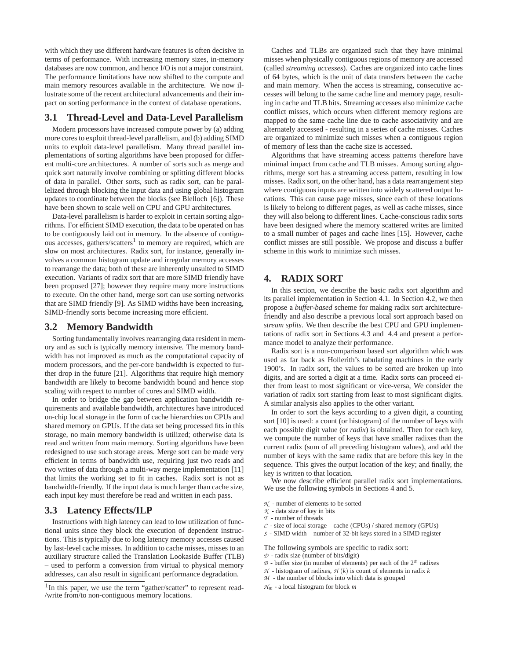with which they use different hardware features is often decisive in terms of performance. With increasing memory sizes, in-memory databases are now common, and hence I/O is not a major constraint. The performance limitations have now shifted to the compute and main memory resources available in the architecture. We now illustrate some of the recent architectural advancements and their impact on sorting performance in the context of database operations.

# **3.1 Thread-Level and Data-Level Parallelism**

Modern processors have increased compute power by (a) adding more cores to exploit thread-level parallelism, and (b) adding SIMD units to exploit data-level parallelism. Many thread parallel implementations of sorting algorithms have been proposed for different multi-core architectures. A number of sorts such as merge and quick sort naturally involve combining or splitting different blocks of data in parallel. Other sorts, such as radix sort, can be parallelized through blocking the input data and using global histogram updates to coordinate between the blocks (see Blelloch [6]). These have been shown to scale well on CPU and GPU architectures.

Data-level parallelism is harder to exploit in certain sorting algorithms. For efficient SIMD execution, the data to be operated on has to be contiguously laid out in memory. In the absence of contiguous accesses, gathers/scatters<sup>1</sup> to memory are required, which are slow on most architectures. Radix sort, for instance, generally involves a common histogram update and irregular memory accesses to rearrange the data; both of these are inherently unsuited to SIMD execution. Variants of radix sort that are more SIMD friendly have been proposed [27]; however they require many more instructions to execute. On the other hand, merge sort can use sorting networks that are SIMD friendly [9]. As SIMD widths have been increasing, SIMD-friendly sorts become increasing more efficient.

## **3.2 Memory Bandwidth**

Sorting fundamentally involves rearranging data resident in memory and as such is typically memory intensive. The memory bandwidth has not improved as much as the computational capacity of modern processors, and the per-core bandwidth is expected to further drop in the future [21]. Algorithms that require high memory bandwidth are likely to become bandwidth bound and hence stop scaling with respect to number of cores and SIMD width.

In order to bridge the gap between application bandwidth requirements and available bandwidth, architectures have introduced on-chip local storage in the form of cache hierarchies on CPUs and shared memory on GPUs. If the data set being processed fits in this storage, no main memory bandwidth is utilized; otherwise data is read and written from main memory. Sorting algorithms have been redesigned to use such storage areas. Merge sort can be made very efficient in terms of bandwidth use, requiring just two reads and two writes of data through a multi-way merge implementation [11] that limits the working set to fit in caches. Radix sort is not as bandwidth-friendly. If the input data is much larger than cache size, each input key must therefore be read and written in each pass.

# **3.3 Latency Effects/ILP**

Instructions with high latency can lead to low utilization of functional units since they block the execution of dependent instructions. This is typically due to long latency memory accesses caused by last-level cache misses. In addition to cache misses, misses to an auxiliary structure called the Translation Lookaside Buffer (TLB) – used to perform a conversion from virtual to physical memory addresses, can also result in significant performance degradation.

Caches and TLBs are organized such that they have minimal misses when physically contiguous regions of memory are accessed (called *streaming accesses*). Caches are organized into cache lines of 64 bytes, which is the unit of data transfers between the cache and main memory. When the access is streaming, consecutive accesses will belong to the same cache line and memory page, resulting in cache and TLB hits. Streaming accesses also minimize cache conflict misses, which occurs when different memory regions are mapped to the same cache line due to cache associativity and are alternately accessed - resulting in a series of cache misses. Caches are organized to minimize such misses when a contiguous region of memory of less than the cache size is accessed.

Algorithms that have streaming access patterns therefore have minimal impact from cache and TLB misses. Among sorting algorithms, merge sort has a streaming access pattern, resulting in low misses. Radix sort, on the other hand, has a data rearrangement step where contiguous inputs are written into widely scattered output locations. This can cause page misses, since each of these locations is likely to belong to different pages, as well as cache misses, since they will also belong to different lines. Cache-conscious radix sorts have been designed where the memory scattered writes are limited to a small number of pages and cache lines [15]. However, cache conflict misses are still possible. We propose and discuss a buffer scheme in this work to minimize such misses.

## **4. RADIX SORT**

In this section, we describe the basic radix sort algorithm and its parallel implementation in Section 4.1. In Section 4.2, we then propose a *buffer-based* scheme for making radix sort architecturefriendly and also describe a previous local sort approach based on *stream splits*. We then describe the best CPU and GPU implementations of radix sort in Sections 4.3 and 4.4 and present a performance model to analyze their performance.

Radix sort is a non-comparison based sort algorithm which was used as far back as Hollerith's tabulating machines in the early 1900's. In radix sort, the values to be sorted are broken up into digits, and are sorted a digit at a time. Radix sorts can proceed either from least to most significant or vice-versa, We consider the variation of radix sort starting from least to most significant digits. A similar analysis also applies to the other variant.

In order to sort the keys according to a given digit, a counting sort [10] is used: a count (or histogram) of the number of keys with each possible digit value (or *radix*) is obtained. Then for each key, we compute the number of keys that have smaller radixes than the current radix (sum of all preceding histogram values), and add the number of keys with the same radix that are before this key in the sequence. This gives the output location of the key; and finally, the key is written to that location.

We now describe efficient parallel radix sort implementations. We use the following symbols in Sections 4 and 5.

- *N* number of elements to be sorted
- $K$  data size of key in bits
- *T* number of threads
- $C$  size of local storage cache (CPUs) / shared memory (GPUs)
- *S* SIMD width number of 32-bit keys stored in a SIMD register

The following symbols are specific to radix sort:

- *D* radix size (number of bits/digit)
- *B* buffer size (in number of elements) per each of the 2*<sup>D</sup>* radixes
- *H* histogram of radixes,  $H(k)$  is count of elements in radix  $k$
- *M* the number of blocks into which data is grouped
- $H_m$  a local histogram for block *m*

<sup>&</sup>lt;sup>1</sup>In this paper, we use the term "gather/scatter" to represent read-/write from/to non-contiguous memory locations.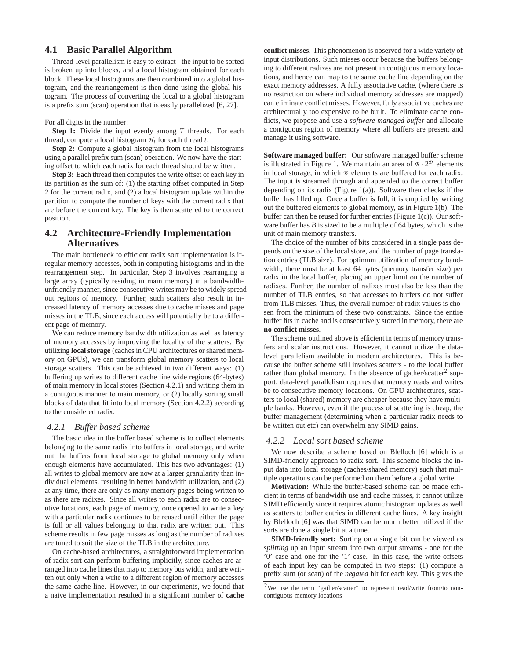# **4.1 Basic Parallel Algorithm**

Thread-level parallelism is easy to extract - the input to be sorted is broken up into blocks, and a local histogram obtained for each block. These local histograms are then combined into a global histogram, and the rearrangement is then done using the global histogram. The process of converting the local to a global histogram is a prefix sum (scan) operation that is easily parallelized [6, 27].

#### For all digits in the number:

**Step 1:** Divide the input evenly among *T* threads. For each thread, compute a local histogram *H<sup>t</sup>* for each thread *t*.

**Step 2:** Compute a global histogram from the local histograms using a parallel prefix sum (scan) operation. We now have the starting offset to which each radix for each thread should be written.

**Step 3:** Each thread then computes the write offset of each key in its partition as the sum of: (1) the starting offset computed in Step 2 for the current radix, and (2) a local histogram update within the partition to compute the number of keys with the current radix that are before the current key. The key is then scattered to the correct position.

# **4.2 Architecture-Friendly Implementation Alternatives**

The main bottleneck to efficient radix sort implementation is irregular memory accesses, both in computing histograms and in the rearrangement step. In particular, Step 3 involves rearranging a large array (typically residing in main memory) in a bandwidthunfriendly manner, since consecutive writes may be to widely spread out regions of memory. Further, such scatters also result in increased latency of memory accesses due to cache misses and page misses in the TLB, since each access will potentially be to a different page of memory.

We can reduce memory bandwidth utilization as well as latency of memory accesses by improving the locality of the scatters. By utilizing **local storage** (caches in CPU architectures or shared memory on GPUs), we can transform global memory scatters to local storage scatters. This can be achieved in two different ways: (1) buffering up writes to different cache line wide regions (64-bytes) of main memory in local stores (Section 4.2.1) and writing them in a contiguous manner to main memory, or (2) locally sorting small blocks of data that fit into local memory (Section 4.2.2) according to the considered radix.

# *4.2.1 Buffer based scheme*

The basic idea in the buffer based scheme is to collect elements belonging to the same radix into buffers in local storage, and write out the buffers from local storage to global memory only when enough elements have accumulated. This has two advantages: (1) all writes to global memory are now at a larger granularity than individual elements, resulting in better bandwidth utilization, and (2) at any time, there are only as many memory pages being written to as there are radixes. Since all writes to each radix are to consecutive locations, each page of memory, once opened to write a key with a particular radix continues to be reused until either the page is full or all values belonging to that radix are written out. This scheme results in few page misses as long as the number of radixes are tuned to suit the size of the TLB in the architecture.

On cache-based architectures, a straightforward implementation of radix sort can perform buffering implicitly, since caches are arranged into cache lines that map to memory bus width, and are written out only when a write to a different region of memory accesses the same cache line. However, in our experiments, we found that a naive implementation resulted in a significant number of **cache** **conflict misses**. This phenomenon is observed for a wide variety of input distributions. Such misses occur because the buffers belonging to different radixes are not present in contiguous memory locations, and hence can map to the same cache line depending on the exact memory addresses. A fully associative cache, (where there is no restriction on where individual memory addresses are mapped) can eliminate conflict misses. However, fully associative caches are architecturally too expensive to be built. To eliminate cache conflicts, we propose and use a *software managed buffer* and allocate a contiguous region of memory where all buffers are present and manage it using software.

**Software managed buffer:** Our software managed buffer scheme is illustrated in Figure 1. We maintain an area of  $\mathcal{B} \cdot 2^{\mathcal{D}}$  elements in local storage, in which *B* elements are buffered for each radix. The input is streamed through and appended to the correct buffer depending on its radix (Figure 1(a)). Software then checks if the buffer has filled up. Once a buffer is full, it is emptied by writing out the buffered elements to global memory, as in Figure 1(b). The buffer can then be reused for further entries (Figure 1(c)). Our software buffer has *B* is sized to be a multiple of 64 bytes, which is the unit of main memory transfers.

The choice of the number of bits considered in a single pass depends on the size of the local store, and the number of page translation entries (TLB size). For optimum utilization of memory bandwidth, there must be at least 64 bytes (memory transfer size) per radix in the local buffer, placing an upper limit on the number of radixes. Further, the number of radixes must also be less than the number of TLB entries, so that accesses to buffers do not suffer from TLB misses. Thus, the overall number of radix values is chosen from the minimum of these two constraints. Since the entire buffer fits in cache and is consecutively stored in memory, there are **no conflict misses**.

The scheme outlined above is efficient in terms of memory transfers and scalar instructions. However, it cannot utilize the datalevel parallelism available in modern architectures. This is because the buffer scheme still involves scatters - to the local buffer rather than global memory. In the absence of gather/scatter<sup>2</sup> support, data-level parallelism requires that memory reads and writes be to consecutive memory locations. On GPU architectures, scatters to local (shared) memory are cheaper because they have multiple banks. However, even if the process of scattering is cheap, the buffer management (determining when a particular radix needs to be written out etc) can overwhelm any SIMD gains.

#### *4.2.2 Local sort based scheme*

We now describe a scheme based on Blelloch [6] which is a SIMD-friendly approach to radix sort. This scheme blocks the input data into local storage (caches/shared memory) such that multiple operations can be performed on them before a global write.

**Motivation:** While the buffer-based scheme can be made efficient in terms of bandwidth use and cache misses, it cannot utilize SIMD efficiently since it requires atomic histogram updates as well as scatters to buffer entries in different cache lines. A key insight by Blelloch [6] was that SIMD can be much better utilized if the sorts are done a single bit at a time.

**SIMD-friendly sort:** Sorting on a single bit can be viewed as *splitting* up an input stream into two output streams - one for the '0' case and one for the '1' case. In this case, the write offsets of each input key can be computed in two steps: (1) compute a prefix sum (or scan) of the *negated* bit for each key. This gives the

<sup>&</sup>lt;sup>2</sup>We use the term "gather/scatter" to represent read/write from/to noncontiguous memory locations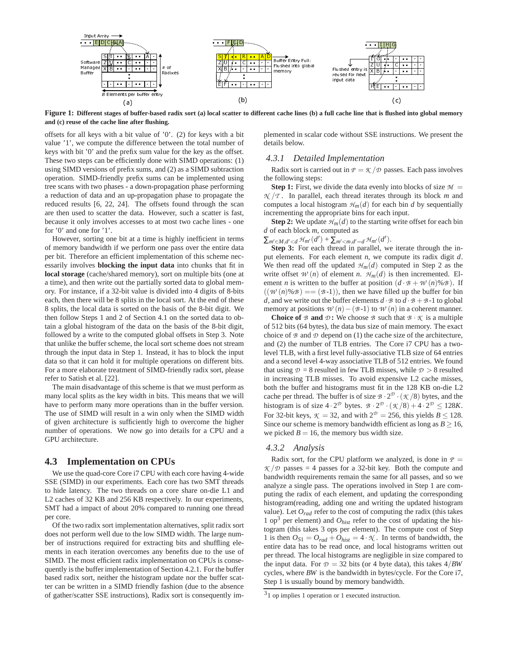

**Figure 1: Different stages of buffer-based radix sort (a) local scatter to different cache lines (b) a full cache line that is flushed into global memory and (c) reuse of the cache line after flushing.**

offsets for all keys with a bit value of '0'. (2) for keys with a bit value '1', we compute the difference between the total number of keys with bit '0' and the prefix sum value for the key as the offset. These two steps can be efficiently done with SIMD operations: (1) using SIMD versions of prefix sums, and (2) as a SIMD subtraction operation. SIMD-friendly prefix sums can be implemented using tree scans with two phases - a down-propagation phase performing a reduction of data and an up-propagation phase to propagate the reduced results [6, 22, 24]. The offsets found through the scan are then used to scatter the data. However, such a scatter is fast, because it only involves accesses to at most two cache lines - one for '0' and one for '1'.

However, sorting one bit at a time is highly inefficient in terms of memory bandwidth if we perform one pass over the entire data per bit. Therefore an efficient implementation of this scheme necessarily involves **blocking the input data** into chunks that fit in **local storage** (cache/shared memory), sort on multiple bits (one at a time), and then write out the partially sorted data to global memory. For instance, if a 32-bit value is divided into 4 digits of 8-bits each, then there will be 8 splits in the local sort. At the end of these 8 splits, the local data is sorted on the basis of the 8-bit digit. We then follow Steps 1 and 2 of Section 4.1 on the sorted data to obtain a global histogram of the data on the basis of the 8-bit digit, followed by a write to the computed global offsets in Step 3. Note that unlike the buffer scheme, the local sort scheme does not stream through the input data in Step 1. Instead, it has to block the input data so that it can hold it for multiple operations on different bits. For a more elaborate treatment of SIMD-friendly radix sort, please refer to Satish et al. [22].

The main disadvantage of this scheme is that we must perform as many local splits as the key width in bits. This means that we will have to perform many more operations than in the buffer version. The use of SIMD will result in a win only when the SIMD width of given architecture is sufficiently high to overcome the higher number of operations. We now go into details for a CPU and a GPU architecture.

# **4.3 Implementation on CPUs**

We use the quad-core Core i7 CPU with each core having 4-wide SSE (SIMD) in our experiments. Each core has two SMT threads to hide latency. The two threads on a core share on-die L1 and L2 caches of 32 KB and 256 KB respectively. In our experiments, SMT had a impact of about 20% compared to running one thread per core.

Of the two radix sort implementation alternatives, split radix sort does not perform well due to the low SIMD width. The large number of instructions required for extracting bits and shuffling elements in each iteration overcomes any benefits due to the use of SIMD. The most efficient radix implementation on CPUs is consequently is the buffer implementation of Section 4.2.1. For the buffer based radix sort, neither the histogram update nor the buffer scatter can be written in a SIMD friendly fashion (due to the absence of gather/scatter SSE instructions), Radix sort is consequently implemented in scalar code without SSE instructions. We present the details below.

## *4.3.1 Detailed Implementation*

Radix sort is carried out in  $P = \mathcal{K}/\mathcal{D}$  passes. Each pass involves the following steps:

**Step 1:** First, we divide the data evenly into blocks of size  $M =$  $\mathcal{N}/\mathcal{T}$ . In parallel, each thread iterates through its block *m* and computes a local histogram  $H_m(d)$  for each bin *d* by sequentially incrementing the appropriate bins for each input.

**Step 2:** We update  $\mathcal{H}_m(d)$  to the starting write offset for each bin *d* of each block *m*, computed as

 $\sum_{m'\in M,d'\leq d} \mathcal{H}_{m'}(d') + \sum_{m'\leq m,d'=d} \mathcal{H}_{m'}(d').$ 

**Step 3:** For each thread in parallel, we iterate through the input elements. For each element *n*, we compute its radix digit *d*. We then read off the updated  $H_m(d)$  computed in Step 2 as the write offset  $W(n)$  of element *n*.  $H_m(d)$  is then incremented. Element *n* is written to the buffer at position  $(d \cdot \mathcal{B} + \mathcal{W}(n)\mathcal{B})$ . If  $((w(n)\% \mathcal{B}) = (B-1))$ , then we have filled up the buffer for bin *d*, and we write out the buffer elements  $d \cdot \mathcal{B}$  to  $d \cdot \mathcal{B} + \mathcal{B} - 1$  to global memory at positions  $W(n) - (B-1)$  to  $W(n)$  in a coherent manner.

**Choice of**  $\mathcal{B}$  **and**  $\mathcal{D}$  **:** We choose  $\mathcal{B}$  such that  $\mathcal{B} \cdot \mathcal{K}$  is a multiple of 512 bits (64 bytes), the data bus size of main memory. The exact choice of *B* and *D* depend on (1) the cache size of the architecture, and (2) the number of TLB entries. The Core i7 CPU has a twolevel TLB, with a first level fully-associative TLB size of 64 entries and a second level 4-way associative TLB of 512 entries. We found that using  $\mathcal{D} = 8$  resulted in few TLB misses, while  $\mathcal{D} > 8$  resulted in increasing TLB misses. To avoid expensive L2 cache misses, both the buffer and histograms must fit in the 128 KB on-die L2 cache per thread. The buffer is of size  $\mathcal{B} \cdot 2^{\mathcal{D}} \cdot (\mathcal{K}/8)$  bytes, and the histogram is of size  $4 \cdot 2^{\mathcal{D}}$  bytes.  $\mathcal{B} \cdot 2^{\mathcal{D}} \cdot (\mathcal{K}/8) + 4 \cdot 2^{\mathcal{D}} \le 128K$ . For 32-bit keys,  $\chi$  = 32, and with  $2^{\mathcal{D}}$  = 256, this yields *B* < 128. Since our scheme is memory bandwidth efficient as long as  $B \ge 16$ , we picked  $B = 16$ , the memory bus width size.

#### *4.3.2 Analysis*

Radix sort, for the CPU platform we analyzed, is done in  $P =$  $K/D$  passes = 4 passes for a 32-bit key. Both the compute and bandwidth requirements remain the same for all passes, and so we analyze a single pass. The operations involved in Step 1 are computing the radix of each element, and updating the corresponding histogram(reading, adding one and writing the updated histogram value). Let  $O_{rad}$  refer to the cost of computing the radix (this takes 1 op<sup>3</sup> per element) and  $O_{hist}$  refer to the cost of updating the histogram (this takes 3 ops per element). The compute cost of Step 1 is then  $O_{S1} = O_{rad} + O_{hist} = 4 \cdot \mathcal{N}$ . In terms of bandwidth, the entire data has to be read once, and local histograms written out per thread. The local histograms are negligible in size compared to the input data. For  $\mathcal{D} = 32$  bits (or 4 byte data), this takes  $4/BW$ cycles, where *BW* is the bandwidth in bytes/cycle. For the Core i7, Step 1 is usually bound by memory bandwidth.

<sup>&</sup>lt;sup>3</sup>1 op implies 1 operation or 1 executed instruction.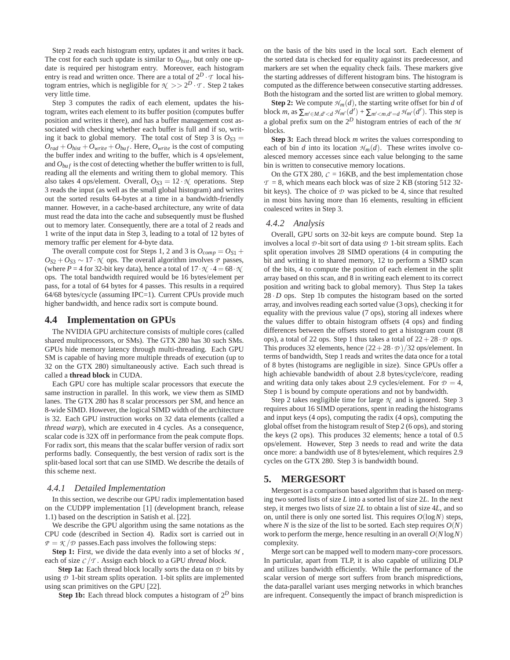Step 2 reads each histogram entry, updates it and writes it back. The cost for each such update is similar to  $O_{hist}$ , but only one update is required per histogram entry. Moreover, each histogram entry is read and written once. There are a total of  $2^D \cdot \tau$  local histogram entries, which is negligible for  $\mathcal{N} \gg 2^D \cdot \mathcal{T}$ . Step 2 takes very little time.

Step 3 computes the radix of each element, updates the histogram, writes each element to its buffer position (computes buffer position and writes it there), and has a buffer management cost associated with checking whether each buffer is full and if so, writing it back to global memory. The total cost of Step 3 is  $O_{S3}$  =  $O_{rad} + O_{hist} + O_{write} + O_{buf}$ . Here,  $O_{write}$  is the cost of computing the buffer index and writing to the buffer, which is 4 ops/element, and  $O_{buf}$  is the cost of detecting whether the buffer written to is full, reading all the elements and writing them to global memory. This also takes 4 ops/element. Overall,  $O_{S3} = 12 \cdot \mathcal{N}$  operations. Step 3 reads the input (as well as the small global histogram) and writes out the sorted results 64-bytes at a time in a bandwidth-friendly manner. However, in a cache-based architecture, any write of data must read the data into the cache and subsequently must be flushed out to memory later. Consequently, there are a total of 2 reads and 1 write of the input data in Step 3, leading to a total of 12 bytes of memory traffic per element for 4-byte data.

The overall compute cost for Steps 1, 2 and 3 is  $O_{comp} = O_{S1}$  +  $O_{S2} + O_{S3} \sim 17 \cdot \mathcal{N}$  ops. The overall algorithm involves *P* passes, (where  $P = 4$  for 32-bit key data), hence a total of  $17 \cdot \mathcal{N} \cdot 4 = 68 \cdot \mathcal{N}$ ops. The total bandwidth required would be 16 bytes/element per pass, for a total of 64 bytes for 4 passes. This results in a required 64/68 bytes/cycle (assuming IPC=1). Current CPUs provide much higher bandwidth, and hence radix sort is compute bound.

# **4.4 Implementation on GPUs**

The NVIDIA GPU architecture consists of multiple cores (called shared multiprocessors, or SMs). The GTX 280 has 30 such SMs. GPUs hide memory latency through multi-threading. Each GPU SM is capable of having more multiple threads of execution (up to 32 on the GTX 280) simultaneously active. Each such thread is called a **thread block** in CUDA.

Each GPU core has multiple scalar processors that execute the same instruction in parallel. In this work, we view them as SIMD lanes. The GTX 280 has 8 scalar processors per SM, and hence an 8-wide SIMD. However, the logical SIMD width of the architecture is 32. Each GPU instruction works on 32 data elements (called a *thread warp*), which are executed in 4 cycles. As a consequence, scalar code is 32X off in performance from the peak compute flops. For radix sort, this means that the scalar buffer version of radix sort performs badly. Consequently, the best version of radix sort is the split-based local sort that can use SIMD. We describe the details of this scheme next.

#### *4.4.1 Detailed Implementation*

In this section, we describe our GPU radix implementation based on the CUDPP implementation [1] (development branch, release 1.1) based on the description in Satish et al. [22].

We describe the GPU algorithm using the same notations as the CPU code (described in Section 4). Radix sort is carried out in  $P = K/D$  passes. Each pass involves the following steps:

**Step 1:** First, we divide the data evenly into a set of blocks *M* , each of size *C* /*T* . Assign each block to a GPU *thread block*.

**Step 1a:** Each thread block locally sorts the data on *D* bits by using *D* 1-bit stream splits operation. 1-bit splits are implemented using scan primitives on the GPU [22].

**Step 1b:** Each thread block computes a histogram of  $2^D$  bins

on the basis of the bits used in the local sort. Each element of the sorted data is checked for equality against its predecessor, and markers are set when the equality check fails. These markers give the starting addresses of different histogram bins. The histogram is computed as the difference between consecutive starting addresses. Both the histogram and the sorted list are written to global memory.

**Step 2:** We compute  $\mathcal{H}_m(d)$ , the starting write offset for bin *d* of block *m*, as  $\sum_{m'\in M, d' < d}$   $\mathcal{H}_{m'}(d') + \sum_{m' < m, d' = d}$   $\mathcal{H}_{m'}(d')$ . This step is a global prefix sum on the 2*<sup>D</sup>* histogram entries of each of the *M* blocks.

**Step 3:** Each thread block *m* writes the values corresponding to each of bin *d* into its location  $H_m(d)$ . These writes involve coalesced memory accesses since each value belonging to the same bin is written to consecutive memory locations.

On the GTX 280,  $C = 16KB$ , and the best implementation chose  $\tau$  = 8, which means each block was of size 2 KB (storing 512 32bit keys). The choice of  $\mathcal D$  was picked to be 4, since that resulted in most bins having more than 16 elements, resulting in efficient coalesced writes in Step 3.

### *4.4.2 Analysis*

Overall, GPU sorts on 32-bit keys are compute bound. Step 1a involves a local *D* -bit sort of data using *D* 1-bit stream splits. Each split operation involves 28 SIMD operations (4 in computing the bit and writing it to shared memory, 12 to perform a SIMD scan of the bits, 4 to compute the position of each element in the split array based on this scan, and 8 in writing each element to its correct position and writing back to global memory). Thus Step 1a takes  $28 \cdot D$  ops. Step 1b computes the histogram based on the sorted array, and involves reading each sorted value (3 ops), checking it for equality with the previous value (7 ops), storing all indexes where the values differ to obtain histogram offsets (4 ops) and finding differences between the offsets stored to get a histogram count (8 ops), a total of 22 ops. Step 1 thus takes a total of  $22 + 28 \cdot \mathcal{D}$  ops. This produces 32 elements, hence  $(22+28\cdot\varpi)/32$  ops/element. In terms of bandwidth, Step 1 reads and writes the data once for a total of 8 bytes (histograms are negligible in size). Since GPUs offer a high achievable bandwidth of about 2.8 bytes/cycle/core, reading and writing data only takes about 2.9 cycles/element. For  $\mathcal{D} = 4$ , Step 1 is bound by compute operations and not by bandwidth.

Step 2 takes negligible time for large  $\mathcal N$  and is ignored. Step 3 requires about 16 SIMD operations, spent in reading the histograms and input keys (4 ops), computing the radix (4 ops), computing the global offset from the histogram result of Step 2 (6 ops), and storing the keys (2 ops). This produces 32 elements; hence a total of 0.5 ops/element. However, Step 3 needs to read and write the data once more: a bandwidth use of 8 bytes/element, which requires 2.9 cycles on the GTX 280. Step 3 is bandwidth bound.

# **5. MERGESORT**

Mergesort is a comparison based algorithm that is based on merging two sorted lists of size *L* into a sorted list of size 2*L*. In the next step, it merges two lists of size 2*L* to obtain a list of size 4*L*, and so on, until there is only one sorted list. This requires  $O(log N)$  steps, where *N* is the size of the list to be sorted. Each step requires  $O(N)$ work to perform the merge, hence resulting in an overall *O*(*N* log*N*) complexity.

Merge sort can be mapped well to modern many-core processors. In particular, apart from TLP, it is also capable of utilizing DLP and utilizes bandwidth efficiently. While the performance of the scalar version of merge sort suffers from branch mispredictions, the data-parallel variant uses merging networks in which branches are infrequent. Consequently the impact of branch misprediction is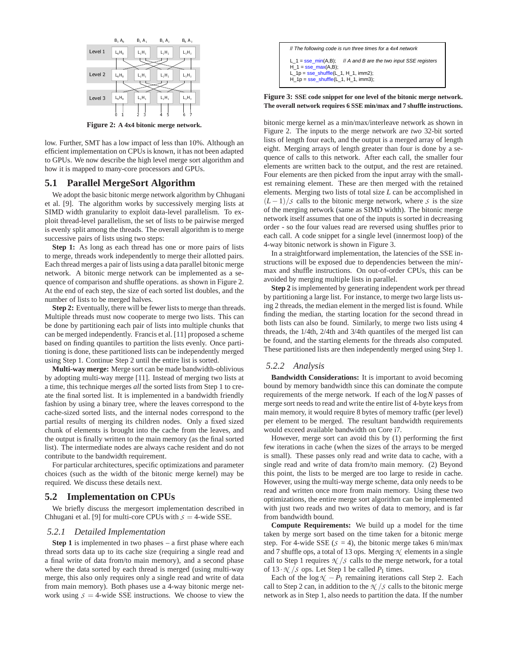

**Figure 2: A 4x4 bitonic merge network.**

low. Further, SMT has a low impact of less than 10%. Although an efficient implementation on CPUs is known, it has not been adapted to GPUs. We now describe the high level merge sort algorithm and how it is mapped to many-core processors and GPUs.

# **5.1 Parallel MergeSort Algorithm**

We adopt the basic bitonic merge network algorithm by Chhugani et al. [9]. The algorithm works by successively merging lists at SIMD width granularity to exploit data-level parallelism. To exploit thread-level parallelism, the set of lists to be pairwise merged is evenly split among the threads. The overall algorithm is to merge successive pairs of lists using two steps:

**Step 1:** As long as each thread has one or more pairs of lists to merge, threads work independently to merge their allotted pairs. Each thread merges a pair of lists using a data parallel bitonic merge network. A bitonic merge network can be implemented as a sequence of comparison and shuffle operations. as shown in Figure 2. At the end of each step, the size of each sorted list doubles, and the number of lists to be merged halves.

**Step 2:** Eventually, there will be fewer lists to merge than threads. Multiple threads must now cooperate to merge two lists. This can be done by partitioning each pair of lists into multiple chunks that can be merged independently. Francis et al. [11] proposed a scheme based on finding quantiles to partition the lists evenly. Once partitioning is done, these partitioned lists can be independently merged using Step 1. Continue Step 2 until the entire list is sorted.

**Multi-way merge:** Merge sort can be made bandwidth-oblivious by adopting multi-way merge [11]. Instead of merging two lists at a time, this technique merges *all* the sorted lists from Step 1 to create the final sorted list. It is implemented in a bandwidth friendly fashion by using a binary tree, where the leaves correspond to the cache-sized sorted lists, and the internal nodes correspond to the partial results of merging its children nodes. Only a fixed sized chunk of elements is brought into the cache from the leaves, and the output is finally written to the main memory (as the final sorted list). The intermediate nodes are always cache resident and do not contribute to the bandwidth requirement.

For particular architectures, specific optimizations and parameter choices (such as the width of the bitonic merge kernel) may be required. We discuss these details next.

#### **5.2 Implementation on CPUs**

We briefly discuss the mergesort implementation described in Chhugani et al. [9] for multi-core CPUs with  $s = 4$ -wide SSE.

#### *5.2.1 Detailed Implementation*

**Step 1** is implemented in two phases – a first phase where each thread sorts data up to its cache size (requiring a single read and a final write of data from/to main memory), and a second phase where the data sorted by each thread is merged (using multi-way merge, this also only requires only a single read and write of data from main memory). Both phases use a 4-way bitonic merge network using  $s = 4$ -wide SSE instructions. We choose to view the



**Figure 3: SSE code snippet for one level of the bitonic merge network. The overall network requires 6 SSE min/max and 7 shuffle instructions.**

bitonic merge kernel as a min/max/interleave network as shown in Figure 2. The inputs to the merge network are *two* 32-bit sorted lists of length four each, and the output is a merged array of length eight. Merging arrays of length greater than four is done by a sequence of calls to this network. After each call, the smaller four elements are written back to the output, and the rest are retained. Four elements are then picked from the input array with the smallest remaining element. These are then merged with the retained elements. Merging two lists of total size *L* can be accomplished in  $(L-1)/s$  calls to the bitonic merge network, where *s* is the size of the merging network (same as SIMD width). The bitonic merge network itself assumes that one of the inputs is sorted in decreasing order - so the four values read are reversed using shuffles prior to each call. A code snippet for a single level (innermost loop) of the 4-way bitonic network is shown in Figure 3.

In a straightforward implementation, the latencies of the SSE instructions will be exposed due to dependencies between the min/ max and shuffle instructions. On out-of-order CPUs, this can be avoided by merging multiple lists in parallel.

**Step 2** is implemented by generating independent work per thread by partitioning a large list. For instance, to merge two large lists using 2 threads, the median element in the merged list is found. While finding the median, the starting location for the second thread in both lists can also be found. Similarly, to merge two lists using 4 threads, the 1/4th, 2/4th and 3/4th quantiles of the merged list can be found, and the starting elements for the threads also computed. These partitioned lists are then independently merged using Step 1.

#### *5.2.2 Analysis*

**Bandwidth Considerations:** It is important to avoid becoming bound by memory bandwidth since this can dominate the compute requirements of the merge network. If each of the log*N* passes of merge sort needs to read and write the entire list of 4-byte keys from main memory, it would require 8 bytes of memory traffic (per level) per element to be merged. The resultant bandwidth requirements would exceed available bandwidth on Core i7.

However, merge sort can avoid this by (1) performing the first few iterations in cache (when the sizes of the arrays to be merged is small). These passes only read and write data to cache, with a single read and write of data from/to main memory. (2) Beyond this point, the lists to be merged are too large to reside in cache. However, using the multi-way merge scheme, data only needs to be read and written once more from main memory. Using these two optimizations, the entire merge sort algorithm can be implemented with just two reads and two writes of data to memory, and is far from bandwidth bound.

**Compute Requirements:** We build up a model for the time taken by merge sort based on the time taken for a bitonic merge step. For 4-wide SSE  $(s = 4)$ , the bitonic merge takes 6 min/max and 7 shuffle ops, a total of 13 ops. Merging  $\chi$  elements in a single call to Step 1 requires  $\mathcal{N}/\mathcal{S}$  calls to the merge network, for a total of  $13 \cdot \mathcal{N}/s$  ops. Let Step 1 be called  $P_1$  times.

Each of the  $log \mathcal{N} - P_1$  remaining iterations call Step 2. Each call to Step 2 can, in addition to the  $\frac{\pi}{s}$  calls to the bitonic merge network as in Step 1, also needs to partition the data. If the number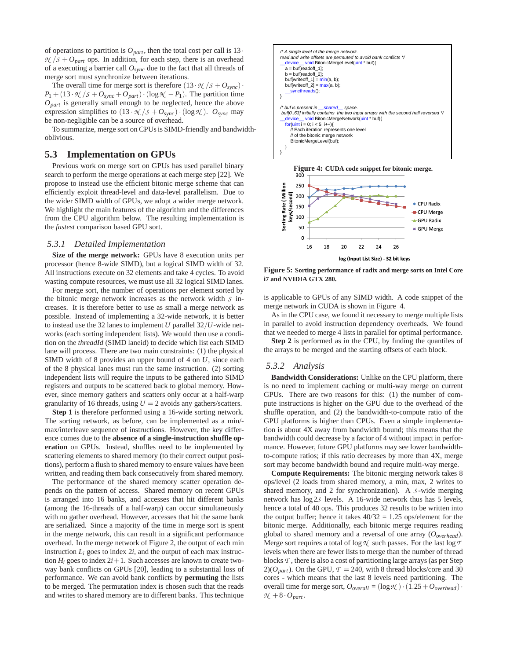of operations to partition is  $O_{part}$ , then the total cost per call is 13 ·  $\mathcal{N}/\mathcal{S} + O_{part}$  ops. In addition, for each step, there is an overhead of a executing a barrier call *Osync* due to the fact that all threads of merge sort must synchronize between iterations.

The overall time for merge sort is therefore  $(13 \cdot \mathcal{A}/\mathcal{S} + O_{sync})$ .  $P_1 + (13 \cdot \mathcal{N}/s + O_{sync} + O_{part}) \cdot (\log \mathcal{N} - P_1)$ . The partition time *Opart* is generally small enough to be neglected, hence the above expression simplifies to  $(13 \cdot \mathcal{K}/s + O_{sync}) \cdot (\log \mathcal{K})$ .  $O_{sync}$  may be non-negligible can be a source of overhead.

To summarize, merge sort on CPUs is SIMD-friendly and bandwidthoblivious.

## **5.3 Implementation on GPUs**

Previous work on merge sort on GPUs has used parallel binary search to perform the merge operations at each merge step [22]. We propose to instead use the efficient bitonic merge scheme that can efficiently exploit thread-level and data-level parallelism. Due to the wider SIMD width of GPUs, we adopt a wider merge network. We highlight the main features of the algorithm and the differences from the CPU algorithm below. The resulting implementation is the *fastest* comparison based GPU sort.

#### *5.3.1 Detailed Implementation*

**Size of the merge network:** GPUs have 8 execution units per processor (hence 8-wide SIMD), but a logical SIMD width of 32. All instructions execute on 32 elements and take 4 cycles. To avoid wasting compute resources, we must use all 32 logical SIMD lanes.

For merge sort, the number of operations per element sorted by the bitonic merge network increases as the network width *S* increases. It is therefore better to use as small a merge network as possible. Instead of implementing a 32-wide network, it is better to instead use the 32 lanes to implement *U* parallel 32/*U*-wide networks (each sorting independent lists). We would then use a condition on the *threadId* (SIMD laneid) to decide which list each SIMD lane will process. There are two main constraints: (1) the physical SIMD width of 8 provides an upper bound of 4 on *U*, since each of the 8 physical lanes must run the same instruction. (2) sorting independent lists will require the inputs to be gathered into SIMD registers and outputs to be scattered back to global memory. However, since memory gathers and scatters only occur at a half-warp granularity of 16 threads, using  $U = 2$  avoids any gathers/scatters.

**Step 1** is therefore performed using a 16-wide sorting network. The sorting network, as before, can be implemented as a min/ max/interleave sequence of instructions. However, the key difference comes due to the **absence of a single-instruction shuffle operation** on GPUs. Instead, shuffles need to be implemented by scattering elements to shared memory (to their correct output positions), perform a flush to shared memory to ensure values have been written, and reading them back consecutively from shared memory.

The performance of the shared memory scatter operation depends on the pattern of access. Shared memory on recent GPUs is arranged into 16 banks, and accesses that hit different banks (among the 16-threads of a half-warp) can occur simultaneously with no gather overhead. However, accesses that hit the same bank are serialized. Since a majority of the time in merge sort is spent in the merge network, this can result in a significant performance overhead. In the merge network of Figure 2, the output of each min instruction  $L_i$  goes to index  $2i$ , and the output of each max instruction  $H_i$  goes to index  $2i+1$ . Such accesses are known to create twoway bank conflicts on GPUs [20], leading to a substantial loss of performance. We can avoid bank conflicts by **permuting** the lists to be merged. The permutation index is chosen such that the reads and writes to shared memory are to different banks. This technique







**Figure 5: Sorting performance of radix and merge sorts on Intel Core i7 and NVIDIA GTX 280.**

is applicable to GPUs of any SIMD width. A code snippet of the merge network in CUDA is shown in Figure 4.

As in the CPU case, we found it necessary to merge multiple lists in parallel to avoid instruction dependency overheads. We found that we needed to merge 4 lists in parallel for optimal performance.

**Step 2** is performed as in the CPU, by finding the quantiles of the arrays to be merged and the starting offsets of each block.

#### *5.3.2 Analysis*

**Bandwidth Considerations:** Unlike on the CPU platform, there is no need to implement caching or multi-way merge on current GPUs. There are two reasons for this: (1) the number of compute instructions is higher on the GPU due to the overhead of the shuffle operation, and (2) the bandwidth-to-compute ratio of the GPU platforms is higher than CPUs. Even a simple implementation is about 4X away from bandwidth bound; this means that the bandwidth could decrease by a factor of 4 without impact in performance. However, future GPU platforms may see lower bandwidthto-compute ratios; if this ratio decreases by more than 4X, merge sort may become bandwidth bound and require multi-way merge.

**Compute Requirements:** The bitonic merging network takes 8 ops/level (2 loads from shared memory, a min, max, 2 writes to shared memory, and 2 for synchronization). A *S*-wide merging network has log2*S* levels. A 16-wide network thus has 5 levels, hence a total of 40 ops. This produces 32 results to be written into the output buffer; hence it takes  $40/32 = 1.25$  ops/element for the bitonic merge. Additionally, each bitonic merge requires reading global to shared memory and a reversal of one array (*Ooverhead*). Merge sort requires a total of  $\log \mathcal{N}$  such passes. For the last  $\log \mathcal{T}$ levels when there are fewer lists to merge than the number of thread blocks  $\tau$ , there is also a cost of partitioning large arrays (as per Step  $2(O_{part})$ . On the GPU,  $\tau = 240$ , with 8 thread blocks/core and 30 cores - which means that the last 8 levels need partitioning. The overall time for merge sort,  $O_{overall} = (\log \chi) \cdot (1.25 + O_{overhead}) \cdot$  $\mathcal{N} + 8 \cdot O_{part}$ .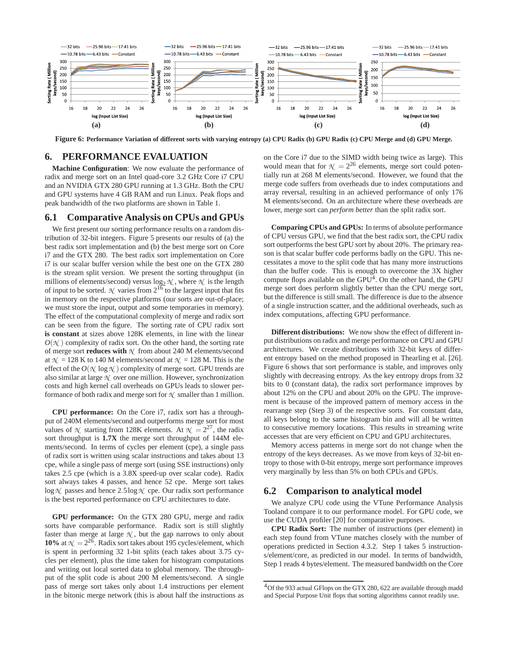

**Figure 6: Performance Variation of different sorts with varying entropy (a) CPU Radix (b) GPU Radix (c) CPU Merge and (d) GPU Merge.**

# **6. PERFORMANCE EVALUATION**

**Machine Configuration**: We now evaluate the performance of radix and merge sort on an Intel quad-core 3.2 GHz Core i7 CPU and an NVIDIA GTX 280 GPU running at 1.3 GHz. Both the CPU and GPU systems have 4 GB RAM and run Linux. Peak flops and peak bandwidth of the two platforms are shown in Table 1.

## **6.1 Comparative Analysis on CPUs and GPUs**

We first present our sorting performance results on a random distribution of 32-bit integers. Figure 5 presents our results of (a) the best radix sort implementation and (b) the best merge sort on Core i7 and the GTX 280. The best radix sort implementation on Core i7 is our scalar buffer version while the best one on the GTX 280 is the stream split version. We present the sorting throughput (in millions of elements/second) versus  $\log_2 \mathcal{N}$ , where  $\mathcal{N}$  is the length of input to be sorted.  $\mathcal{N}$  varies from  $2^{16}$  to the largest input that fits in memory on the respective platforms (our sorts are out-of-place; we must store the input, output and some temporaries in memory). The effect of the computational complexity of merge and radix sort can be seen from the figure. The sorting rate of CPU radix sort **is constant** at sizes above 128K elements, in line with the linear  $O(\mathcal{N})$  complexity of radix sort. On the other hand, the sorting rate of merge sort **reduces with** *N* from about 240 M elements/second at  $\mathcal{N} = 128$  K to 140 M elements/second at  $\mathcal{N} = 128$  M. This is the effect of the  $O(\mathcal{N} \log \mathcal{N})$  complexity of merge sort. GPU trends are also similar at large *N* over one million. However, synchronization costs and high kernel call overheads on GPUs leads to slower performance of both radix and merge sort for  $\mathcal{N}$  smaller than 1 million.

**CPU performance:** On the Core i7, radix sort has a throughput of 240M elements/second and outperforms merge sort for most values of  $\mathcal{N}$  starting from 128K elements. At  $\mathcal{N} = 2^{27}$ , the radix sort throughput is **1.7X** the merge sort throughput of 144M elements/second. In terms of cycles per element (cpe), a single pass of radix sort is written using scalar instructions and takes about 13 cpe, while a single pass of merge sort (using SSE instructions) only takes 2.5 cpe (which is a 3.8X speed-up over scalar code). Radix sort always takes 4 passes, and hence 52 cpe. Merge sort takes log*N* passes and hence 2.5log*N* cpe. Our radix sort performance is the best reported performance on CPU architectures to date.

**GPU performance:** On the GTX 280 GPU, merge and radix sorts have comparable performance. Radix sort is still slightly faster than merge at large  $\mathcal{N}$ , but the gap narrows to only about **10%** at  $\mathcal{N} = 2^{26}$ . Radix sort takes about 195 cycles/element, which is spent in performing 32 1-bit splits (each takes about 3.75 cycles per element), plus the time taken for histogram computations and writing out local sorted data to global memory. The throughput of the split code is about 200 M elements/second. A single pass of merge sort takes only about 1.4 instructions per element in the bitonic merge network (this is about half the instructions as on the Core i7 due to the SIMD width being twice as large). This would mean that for  $\mathcal{N} = 2^{26}$  elements, merge sort could potentially run at 268 M elements/second. However, we found that the merge code suffers from overheads due to index computations and array reversal, resulting in an achieved performance of only 176 M elements/second. On an architecture where these overheads are lower, merge sort can *perform better* than the split radix sort.

**Comparing CPUs and GPUs:** In terms of absolute performance of CPU versus GPU, we find that the best radix sort, the CPU radix sort outperforms the best GPU sort by about 20%. The primary reason is that scalar buffer code performs badly on the GPU. This necessitates a move to the split code that has many more instructions than the buffer code. This is enough to overcome the 3X higher compute flops available on the  $GPU<sup>4</sup>$ . On the other hand, the  $GPU$ merge sort does perform slightly better than the CPU merge sort, but the difference is still small. The difference is due to the absence of a single instruction scatter, and the additional overheads, such as index computations, affecting GPU performance.

**Different distributions:** We now show the effect of different input distributions on radix and merge performance on CPU and GPU architectures. We create distributions with 32-bit keys of different entropy based on the method proposed in Thearling et al. [26]. Figure 6 shows that sort performance is stable, and improves only slightly with decreasing entropy. As the key entropy drops from 32 bits to 0 (constant data), the radix sort performance improves by about 12% on the CPU and about 20% on the GPU. The improvement is because of the improved pattern of memory access in the rearrange step (Step 3) of the respective sorts. For constant data, all keys belong to the same histogram bin and will all be written to consecutive memory locations. This results in streaming write accesses that are very efficient on CPU and GPU architectures.

Memory access patterns in merge sort do not change when the entropy of the keys decreases. As we move from keys of 32-bit entropy to those with 0-bit entropy, merge sort performance improves very marginally by less than 5% on both CPUs and GPUs.

# **6.2 Comparison to analytical model**

We analyze CPU code using the VTune Performance Analysis Tooland compare it to our performance model. For GPU code, we use the CUDA profiler [20] for comparative purposes.

**CPU Radix Sort:** The number of instructions (per element) in each step found from VTune matches closely with the number of operations predicted in Section 4.3.2. Step 1 takes 5 instructions/element/core, as predicted in our model. In terms of bandwidth, Step 1 reads 4 bytes/element. The measured bandwidth on the Core

<sup>4</sup>Of the 933 actual GFlops on the GTX 280, 622 are available through madd and Special Purpose Unit flops that sorting algorithms cannot readily use.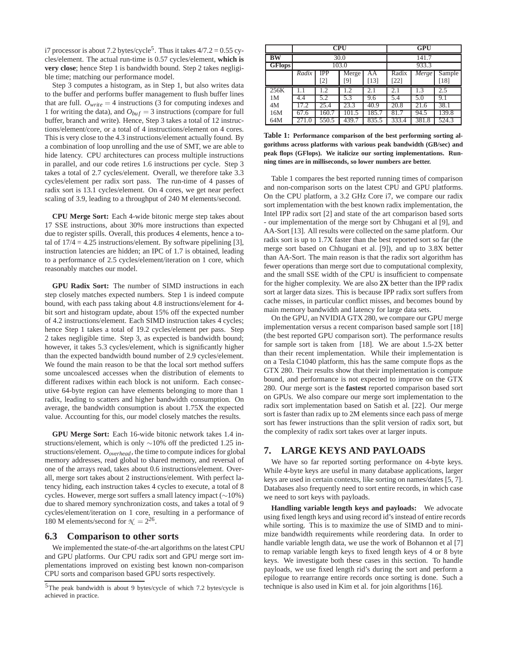i7 processor is about 7.2 bytes/cycle<sup>5</sup>. Thus it takes  $4/7.2 = 0.55$  cycles/element. The actual run-time is 0.57 cycles/element, **which is very close**; hence Step 1 is bandwidth bound. Step 2 takes negligible time; matching our performance model.

Step 3 computes a histogram, as in Step 1, but also writes data to the buffer and performs buffer management to flush buffer lines that are full.  $O_{write} = 4$  instructions (3 for computing indexes and 1 for writing the data), and  $O_{buf} = 3$  instructions (compare for full buffer, branch and write). Hence, Step 3 takes a total of 12 instructions/element/core, or a total of 4 instructions/element on 4 cores. This is very close to the 4.3 instructions/element actually found. By a combination of loop unrolling and the use of SMT, we are able to hide latency. CPU architectures can process multiple instructions in parallel, and our code retires 1.6 instructions per cycle. Step 3 takes a total of 2.7 cycles/element. Overall, we therefore take 3.3 cycles/element per radix sort pass. The run-time of 4 passes of radix sort is 13.1 cycles/element. On 4 cores, we get near perfect scaling of 3.9, leading to a throughput of 240 M elements/second.

**CPU Merge Sort:** Each 4-wide bitonic merge step takes about 17 SSE instructions, about 30% more instructions than expected due to register spills. Overall, this produces 4 elements, hence a total of  $17/4 = 4.25$  instructions/element. By software pipelining [3], instruction latencies are hidden; an IPC of 1.7 is obtained, leading to a performance of 2.5 cycles/element/iteration on 1 core, which reasonably matches our model.

**GPU Radix Sort:** The number of SIMD instructions in each step closely matches expected numbers. Step 1 is indeed compute bound, with each pass taking about 4.8 instructions/element for 4 bit sort and histogram update, about 15% off the expected number of 4.2 instructions/element. Each SIMD instruction takes 4 cycles; hence Step 1 takes a total of 19.2 cycles/element per pass. Step 2 takes negligible time. Step 3, as expected is bandwidth bound; however, it takes 5.3 cycles/element, which is significantly higher than the expected bandwidth bound number of 2.9 cycles/element. We found the main reason to be that the local sort method suffers some uncoalesced accesses when the distribution of elements to different radixes within each block is not uniform. Each consecutive 64-byte region can have elements belonging to more than 1 radix, leading to scatters and higher bandwidth consumption. On average, the bandwidth consumption is about 1.75X the expected value. Accounting for this, our model closely matches the results.

**GPU Merge Sort:** Each 16-wide bitonic network takes 1.4 instructions/element, which is only ∼10% off the predicted 1.25 instructions/element. *Ooverhead*, the time to compute indices for global memory addresses, read global to shared memory, and reversal of one of the arrays read, takes about 0.6 instructions/element. Overall, merge sort takes about 2 instructions/element. With perfect latency hiding, each instruction takes 4 cycles to execute, a total of 8 cycles. However, merge sort suffers a small latency impact (∼10%) due to shared memory synchronization costs, and takes a total of 9 cycles/element/iteration on 1 core, resulting in a performance of 180 M elements/second for  $\mathcal{N} = 2^{26}$ .

## **6.3 Comparison to other sorts**

We implemented the state-of-the-art algorithms on the latest CPU and GPU platforms. Our CPU radix sort and GPU merge sort implementations improved on existing best known non-comparison CPU sorts and comparison based GPU sorts respectively.

|               | <b>CPU</b> |                   |              |                | <b>GPU</b>    |       |                |
|---------------|------------|-------------------|--------------|----------------|---------------|-------|----------------|
| BW            | 30.0       |                   |              |                | 141.7         |       |                |
| <b>GFlops</b> | 103.0      |                   |              |                | 933.3         |       |                |
|               | Radix      | <b>IPP</b><br>[2] | Merge<br>[9] | AA<br>[13]     | Radix<br>[22] | Merge | Sample<br>[18] |
| 256K          |            |                   |              |                |               |       |                |
|               | 1.1        | 1.2               | 1.2          | 2.1            | 2.1           | 1.3   | 2.5            |
| 1M            | 4.4        | 5.2               | 5.3          | 9.6            | 5.4           | 5.0   | 9.1            |
| 4M            | 17.2       | 25.4              | 23.3         | 40.9           | 20.8          | 21.6  | 38.1           |
| 16M           | 67.6       | 160.7             | 101.5        | 185.7<br>835.5 | 81.7<br>333.4 | 94.5  | 139.8          |

**Table 1: Performance comparison of the best performing sorting algorithms across platforms with various peak bandwidth (GB/sec) and peak flops (GFlops). We italicize our sorting implementations. Running times are in milliseconds, so lower numbers are better.**

Table 1 compares the best reported running times of comparison and non-comparison sorts on the latest CPU and GPU platforms. On the CPU platform, a 3.2 GHz Core i7, we compare our radix sort implementation with the best known radix implementation, the Intel IPP radix sort [2] and state of the art comparison based sorts - our implementation of the merge sort by Chhugani et al [9], and AA-Sort [13]. All results were collected on the same platform. Our radix sort is up to 1.7X faster than the best reported sort so far (the merge sort based on Chhugani et al. [9]), and up to 3.8X better than AA-Sort. The main reason is that the radix sort algorithm has fewer operations than merge sort due to computational complexity, and the small SSE width of the CPU is insufficient to compensate for the higher complexity. We are also **2X** better than the IPP radix sort at larger data sizes. This is because IPP radix sort suffers from cache misses, in particular conflict misses, and becomes bound by main memory bandwidth and latency for large data sets.

On the GPU, an NVIDIA GTX 280, we compare our GPU merge implementation versus a recent comparison based sample sort [18] (the best reported GPU comparison sort). The performance results for sample sort is taken from [18]. We are about 1.5-2X better than their recent implementation. While their implementation is on a Tesla C1040 platform, this has the same compute flops as the GTX 280. Their results show that their implementation is compute bound, and performance is not expected to improve on the GTX 280. Our merge sort is the **fastest** reported comparison based sort on GPUs. We also compare our merge sort implementation to the radix sort implementation based on Satish et al. [22]. Our merge sort is faster than radix up to 2M elements since each pass of merge sort has fewer instructions than the split version of radix sort, but the complexity of radix sort takes over at larger inputs.

# **7. LARGE KEYS AND PAYLOADS**

We have so far reported sorting performance on 4-byte keys. While 4-byte keys are useful in many database applications, larger keys are used in certain contexts, like sorting on names/dates [5, 7]. Databases also frequently need to sort entire records, in which case we need to sort keys with payloads.

**Handling variable length keys and payloads:** We advocate using fixed length keys and using record id's instead of entire records while sorting. This is to maximize the use of SIMD and to minimize bandwidth requirements while reordering data. In order to handle variable length data, we use the work of Bohannon et al [7] to remap variable length keys to fixed length keys of 4 or 8 byte keys. We investigate both these cases in this section. To handle payloads, we use fixed length rid's during the sort and perform a epilogue to rearrange entire records once sorting is done. Such a technique is also used in Kim et al. for join algorithms [16].

 $5$ The peak bandwidth is about 9 bytes/cycle of which 7.2 bytes/cycle is achieved in practice.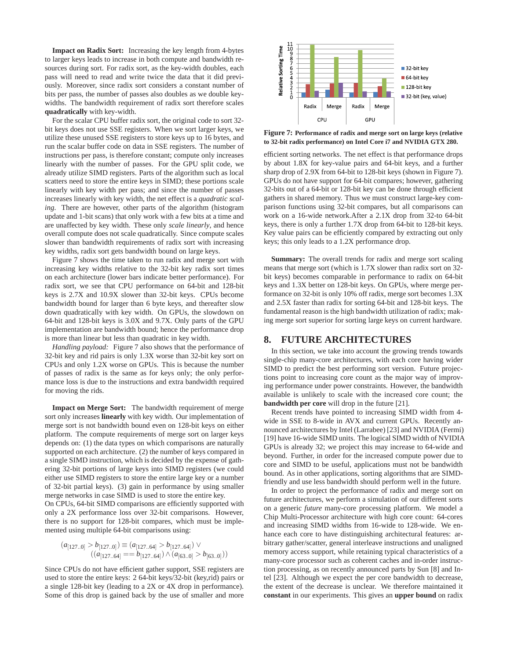**Impact on Radix Sort:** Increasing the key length from 4-bytes to larger keys leads to increase in both compute and bandwidth resources during sort. For radix sort, as the key-width doubles, each pass will need to read and write twice the data that it did previously. Moreover, since radix sort considers a constant number of bits per pass, the number of passes also doubles as we double keywidths. The bandwidth requirement of radix sort therefore scales **quadratically** with key-width.

For the scalar CPU buffer radix sort, the original code to sort 32 bit keys does not use SSE registers. When we sort larger keys, we utilize these unused SSE registers to store keys up to 16 bytes, and run the scalar buffer code on data in SSE registers. The number of instructions per pass, is therefore constant; compute only increases linearly with the number of passes. For the GPU split code, we already utilize SIMD registers. Parts of the algorithm such as local scatters need to store the entire keys in SIMD; these portions scale linearly with key width per pass; and since the number of passes increases linearly with key width, the net effect is a *quadratic scaling*. There are however, other parts of the algorithm (histogram update and 1-bit scans) that only work with a few bits at a time and are unaffected by key width. These only *scale linearly*, and hence overall compute does not scale quadratically. Since compute scales slower than bandwidth requirements of radix sort with increasing key widths, radix sort gets bandwidth bound on large keys.

Figure 7 shows the time taken to run radix and merge sort with increasing key widths relative to the 32-bit key radix sort times on each architecture (lower bars indicate better performance). For radix sort, we see that CPU performance on 64-bit and 128-bit keys is 2.7X and 10.9X slower than 32-bit keys. CPUs become bandwidth bound for larger than 6 byte keys, and thereafter slow down quadratically with key width. On GPUs, the slowdown on 64-bit and 128-bit keys is 3.0X and 9.7X. Only parts of the GPU implementation are bandwidth bound; hence the performance drop is more than linear but less than quadratic in key width.

*Handling payload:* Figure 7 also shows that the performance of 32-bit key and rid pairs is only 1.3X worse than 32-bit key sort on CPUs and only 1.2X worse on GPUs. This is because the number of passes of radix is the same as for keys only; the only performance loss is due to the instructions and extra bandwidth required for moving the rids.

**Impact on Merge Sort:** The bandwidth requirement of merge sort only increases **linearly** with key width. Our implementation of merge sort is not bandwidth bound even on 128-bit keys on either platform. The compute requirements of merge sort on larger keys depends on: (1) the data types on which comparisons are naturally supported on each architecture. (2) the number of keys compared in a single SIMD instruction, which is decided by the expense of gathering 32-bit portions of large keys into SIMD registers (we could either use SIMD registers to store the entire large key or a number of 32-bit partial keys). (3) gain in performance by using smaller merge networks in case SIMD is used to store the entire key.

On CPUs, 64-bit SIMD comparisons are efficiently supported with only a 2X performance loss over 32-bit comparisons. However, there is no support for 128-bit compares, which must be implemented using multiple 64-bit comparisons using:

$$
(a_{[127..0]} > b_{[127..0]}) \equiv (a_{[127..64]} > b_{[127..64]}) \vee ((a_{[127..64]} = b_{[127..64]}) \wedge (a_{[63..0]} > b_{[63..0]}))
$$

Since CPUs do not have efficient gather support, SSE registers are used to store the entire keys: 2 64-bit keys/32-bit (key,rid) pairs or a single 128-bit key (leading to a 2X or 4X drop in performance). Some of this drop is gained back by the use of smaller and more



**Figure 7: Performance of radix and merge sort on large keys (relative to 32-bit radix performance) on Intel Core i7 and NVIDIA GTX 280.**

efficient sorting networks. The net effect is that performance drops by about 1.8X for key-value pairs and 64-bit keys, and a further sharp drop of 2.9X from 64-bit to 128-bit keys (shown in Figure 7). GPUs do not have support for 64-bit compares; however, gathering 32-bits out of a 64-bit or 128-bit key can be done through efficient gathers in shared memory. Thus we must construct large-key comparison functions using 32-bit compares, but all comparisons can work on a 16-wide network.After a 2.1X drop from 32-to 64-bit keys, there is only a further 1.7X drop from 64-bit to 128-bit keys. Key value pairs can be efficiently compared by extracting out only keys; this only leads to a 1.2X performance drop.

**Summary:** The overall trends for radix and merge sort scaling means that merge sort (which is 1.7X slower than radix sort on 32 bit keys) becomes comparable in performance to radix on 64-bit keys and 1.3X better on 128-bit keys. On GPUs, where merge performance on 32-bit is only 10% off radix, merge sort becomes 1.3X and 2.5X faster than radix for sorting 64-bit and 128-bit keys. The fundamental reason is the high bandwidth utilization of radix; making merge sort superior for sorting large keys on current hardware.

# **8. FUTURE ARCHITECTURES**

In this section, we take into account the growing trends towards single-chip many-core architectures, with each core having wider SIMD to predict the best performing sort version. Future projections point to increasing core count as the major way of improving performance under power constraints. However, the bandwidth available is unlikely to scale with the increased core count; the **bandwidth per core** will drop in the future [21].

Recent trends have pointed to increasing SIMD width from 4 wide in SSE to 8-wide in AVX and current GPUs. Recently announced architectures by Intel (Larrabee) [23] and NVIDIA (Fermi) [19] have 16-wide SIMD units. The logical SIMD width of NVIDIA GPUs is already 32; we project this may increase to 64-wide and beyond. Further, in order for the increased compute power due to core and SIMD to be useful, applications must not be bandwidth bound. As in other applications, sorting algorithms that are SIMDfriendly and use less bandwidth should perform well in the future.

In order to project the performance of radix and merge sort on future architectures, we perform a simulation of our different sorts on a generic *future* many-core processing platform. We model a Chip Multi-Processor architecture with high core count: 64-cores and increasing SIMD widths from 16-wide to 128-wide. We enhance each core to have distinguishing architectural features: arbitrary gather/scatter, general interleave instructions and unaligned memory access support, while retaining typical characteristics of a many-core processor such as coherent caches and in-order instruction processing, as on recently announced parts by Sun [8] and Intel [23]. Although we expect the per core bandwidth to decrease, the extent of the decrease is unclear. We therefore maintained it **constant** in our experiments. This gives an **upper bound** on radix